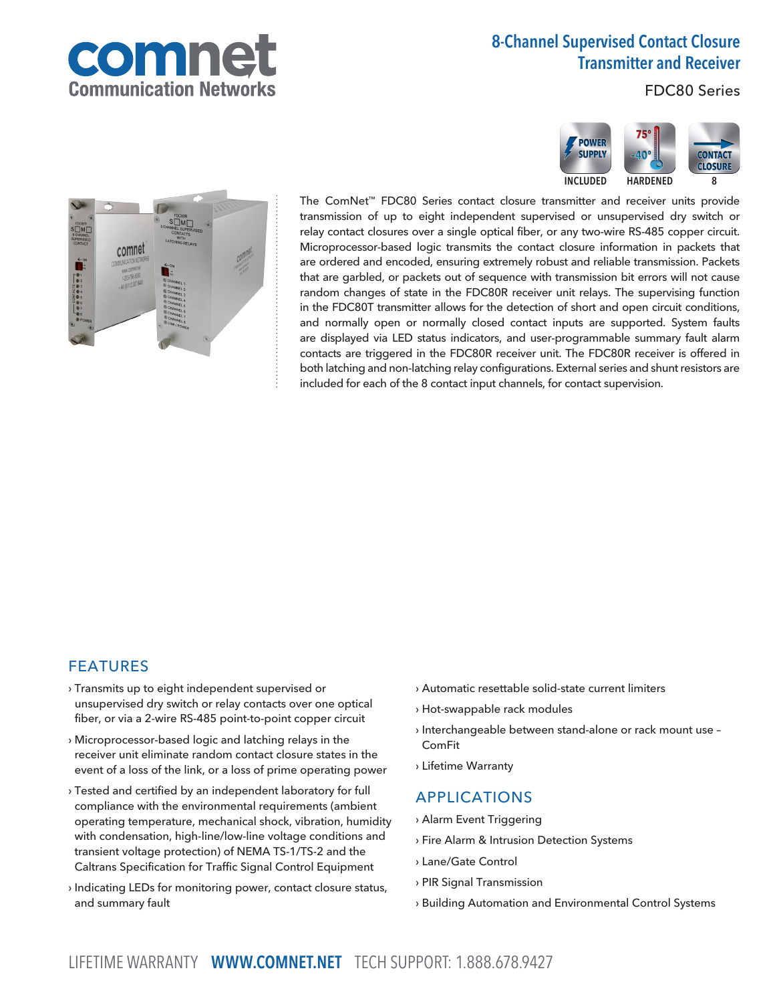

## 8-Channel Supervised Contact Closure Transmitter and Receiver

**POWER SUPPLY** 

INCLUDED HARDENED 8

FDC80 Series

**CONTACT CLOSURE** 



The ComNet™ FDC80 Series contact closure transmitter and receiver units provide transmission of up to eight independent supervised or unsupervised dry switch or relay contact closures over a single optical fiber, or any two-wire RS-485 copper circuit. Microprocessor-based logic transmits the contact closure information in packets that are ordered and encoded, ensuring extremely robust and reliable transmission. Packets that are garbled, or packets out of sequence with transmission bit errors will not cause random changes of state in the FDC80R receiver unit relays. The supervising function in the FDC80T transmitter allows for the detection of short and open circuit conditions, and normally open or normally closed contact inputs are supported. System faults are displayed via LED status indicators, and user-programmable summary fault alarm contacts are triggered in the FDC80R receiver unit. The FDC80R receiver is offered in both latching and non-latching relay configurations. External series and shunt resistors are included for each of the 8 contact input channels, for contact supervision.

### FEATURES

- › Transmits up to eight independent supervised or unsupervised dry switch or relay contacts over one optical fiber, or via a 2-wire RS-485 point-to-point copper circuit
- › Microprocessor-based logic and latching relays in the receiver unit eliminate random contact closure states in the event of a loss of the link, or a loss of prime operating power
- › Tested and certified by an independent laboratory for full compliance with the environmental requirements (ambient operating temperature, mechanical shock, vibration, humidity with condensation, high-line/low-line voltage conditions and transient voltage protection) of NEMA TS-1/TS-2 and the Caltrans Specification for Traffic Signal Control Equipment
- › Indicating LEDs for monitoring power, contact closure status, and summary fault
- › Automatic resettable solid-state current limiters
- › Hot-swappable rack modules
- › Interchangeable between stand-alone or rack mount use ComFit
- › Lifetime Warranty

## APPLICATIONS

- › Alarm Event Triggering
- › Fire Alarm & Intrusion Detection Systems
- › Lane/Gate Control
- › PIR Signal Transmission
- › Building Automation and Environmental Control Systems